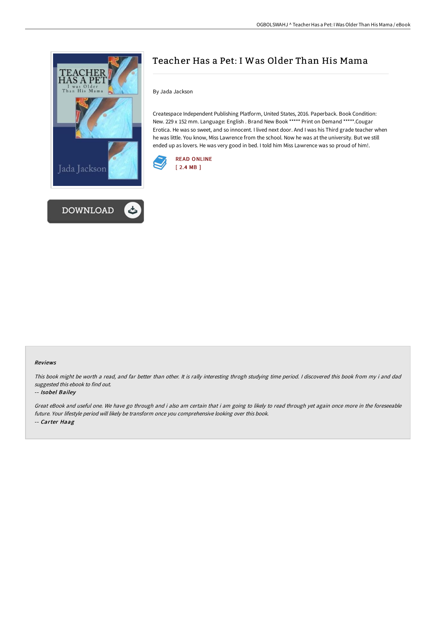



# Teacher Has a Pet: I Was Older Than His Mama

By Jada Jackson

Createspace Independent Publishing Platform, United States, 2016. Paperback. Book Condition: New. 229 x 152 mm. Language: English . Brand New Book \*\*\*\*\* Print on Demand \*\*\*\*\*.Cougar Erotica. He was so sweet, and so innocent. I lived next door. And I was his Third grade teacher when he was little. You know, Miss Lawrence from the school. Now he was at the university. But we still ended up as lovers. He was very good in bed. I told him Miss Lawrence was so proud of him!.



#### Reviews

This book might be worth <sup>a</sup> read, and far better than other. It is rally interesting throgh studying time period. <sup>I</sup> discovered this book from my i and dad suggested this ebook to find out.

#### -- Isobel Bailey

Great eBook and useful one. We have go through and i also am certain that i am going to likely to read through yet again once more in the foreseeable future. Your lifestyle period will likely be transform once you comprehensive looking over this book. -- Carter Haag